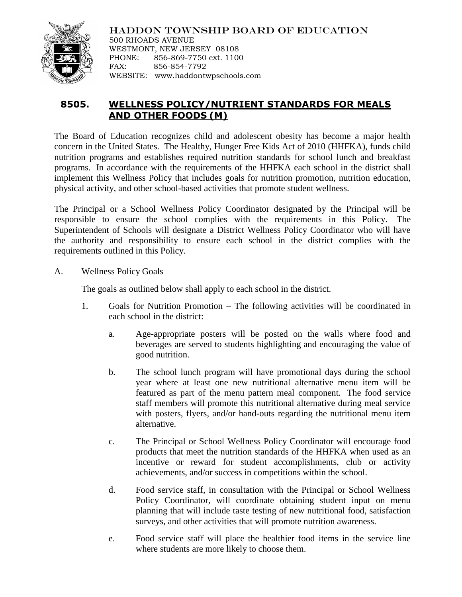

HADDON TOWNSHIP BOARD OF EDUCATION 500 RHOADS AVENUE WESTMONT, NEW JERSEY 08108 PHONE: 856-869-7750 ext. 1100 FAX: 856-854-7792 WEBSITE: www.haddontwpschools.com

## **8505. WELLNESS POLICY/NUTRIENT STANDARDS FOR MEALS AND OTHER FOODS (M)**

The Board of Education recognizes child and adolescent obesity has become a major health concern in the United States. The Healthy, Hunger Free Kids Act of 2010 (HHFKA), funds child nutrition programs and establishes required nutrition standards for school lunch and breakfast programs. In accordance with the requirements of the HHFKA each school in the district shall implement this Wellness Policy that includes goals for nutrition promotion, nutrition education, physical activity, and other school-based activities that promote student wellness.

The Principal or a School Wellness Policy Coordinator designated by the Principal will be responsible to ensure the school complies with the requirements in this Policy. The Superintendent of Schools will designate a District Wellness Policy Coordinator who will have the authority and responsibility to ensure each school in the district complies with the requirements outlined in this Policy.

A. Wellness Policy Goals

The goals as outlined below shall apply to each school in the district.

- 1. Goals for Nutrition Promotion The following activities will be coordinated in each school in the district:
	- a. Age-appropriate posters will be posted on the walls where food and beverages are served to students highlighting and encouraging the value of good nutrition.
	- b. The school lunch program will have promotional days during the school year where at least one new nutritional alternative menu item will be featured as part of the menu pattern meal component. The food service staff members will promote this nutritional alternative during meal service with posters, flyers, and/or hand-outs regarding the nutritional menu item alternative.
	- c. The Principal or School Wellness Policy Coordinator will encourage food products that meet the nutrition standards of the HHFKA when used as an incentive or reward for student accomplishments, club or activity achievements, and/or success in competitions within the school.
	- d. Food service staff, in consultation with the Principal or School Wellness Policy Coordinator, will coordinate obtaining student input on menu planning that will include taste testing of new nutritional food, satisfaction surveys, and other activities that will promote nutrition awareness.
	- e. Food service staff will place the healthier food items in the service line where students are more likely to choose them.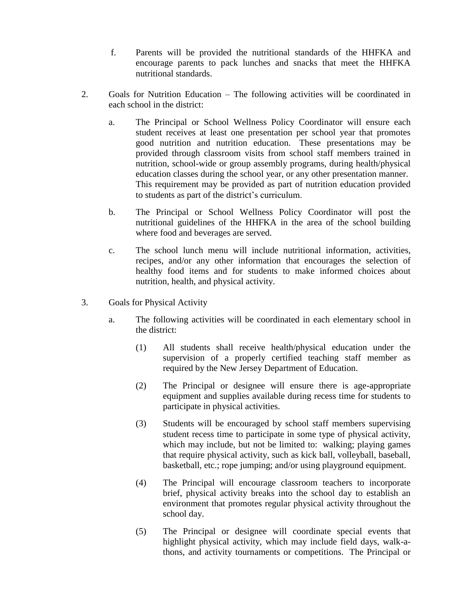- f. Parents will be provided the nutritional standards of the HHFKA and encourage parents to pack lunches and snacks that meet the HHFKA nutritional standards.
- 2. Goals for Nutrition Education The following activities will be coordinated in each school in the district:
	- a. The Principal or School Wellness Policy Coordinator will ensure each student receives at least one presentation per school year that promotes good nutrition and nutrition education. These presentations may be provided through classroom visits from school staff members trained in nutrition, school-wide or group assembly programs, during health/physical education classes during the school year, or any other presentation manner. This requirement may be provided as part of nutrition education provided to students as part of the district's curriculum.
	- b. The Principal or School Wellness Policy Coordinator will post the nutritional guidelines of the HHFKA in the area of the school building where food and beverages are served.
	- c. The school lunch menu will include nutritional information, activities, recipes, and/or any other information that encourages the selection of healthy food items and for students to make informed choices about nutrition, health, and physical activity.
- 3. Goals for Physical Activity
	- a. The following activities will be coordinated in each elementary school in the district:
		- (1) All students shall receive health/physical education under the supervision of a properly certified teaching staff member as required by the New Jersey Department of Education.
		- (2) The Principal or designee will ensure there is age-appropriate equipment and supplies available during recess time for students to participate in physical activities.
		- (3) Students will be encouraged by school staff members supervising student recess time to participate in some type of physical activity, which may include, but not be limited to: walking; playing games that require physical activity, such as kick ball, volleyball, baseball, basketball, etc.; rope jumping; and/or using playground equipment.
		- (4) The Principal will encourage classroom teachers to incorporate brief, physical activity breaks into the school day to establish an environment that promotes regular physical activity throughout the school day.
		- (5) The Principal or designee will coordinate special events that highlight physical activity, which may include field days, walk-athons, and activity tournaments or competitions. The Principal or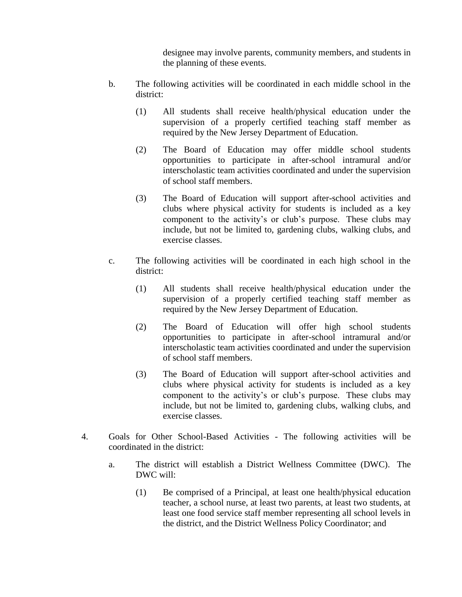designee may involve parents, community members, and students in the planning of these events.

- b. The following activities will be coordinated in each middle school in the district:
	- (1) All students shall receive health/physical education under the supervision of a properly certified teaching staff member as required by the New Jersey Department of Education.
	- (2) The Board of Education may offer middle school students opportunities to participate in after-school intramural and/or interscholastic team activities coordinated and under the supervision of school staff members.
	- (3) The Board of Education will support after-school activities and clubs where physical activity for students is included as a key component to the activity's or club's purpose. These clubs may include, but not be limited to, gardening clubs, walking clubs, and exercise classes.
- c. The following activities will be coordinated in each high school in the district:
	- (1) All students shall receive health/physical education under the supervision of a properly certified teaching staff member as required by the New Jersey Department of Education.
	- (2) The Board of Education will offer high school students opportunities to participate in after-school intramural and/or interscholastic team activities coordinated and under the supervision of school staff members.
	- (3) The Board of Education will support after-school activities and clubs where physical activity for students is included as a key component to the activity's or club's purpose. These clubs may include, but not be limited to, gardening clubs, walking clubs, and exercise classes.
- 4. Goals for Other School-Based Activities The following activities will be coordinated in the district:
	- a. The district will establish a District Wellness Committee (DWC). The DWC will:
		- (1) Be comprised of a Principal, at least one health/physical education teacher, a school nurse, at least two parents, at least two students, at least one food service staff member representing all school levels in the district, and the District Wellness Policy Coordinator; and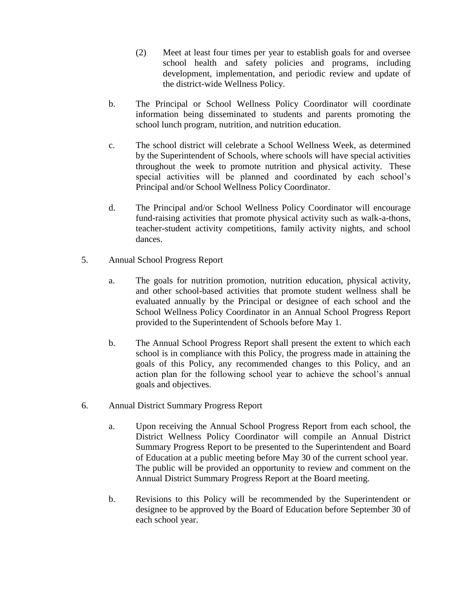- (2) Meet at least four times per year to establish goals for and oversee school health and safety policies and programs, including development, implementation, and periodic review and update of the district-wide Wellness Policy.
- b. The Principal or School Wellness Policy Coordinator will coordinate information being disseminated to students and parents promoting the school lunch program, nutrition, and nutrition education.
- c. The school district will celebrate a School Wellness Week, as determined by the Superintendent of Schools, where schools will have special activities throughout the week to promote nutrition and physical activity. These special activities will be planned and coordinated by each school's Principal and/or School Wellness Policy Coordinator.
- d. The Principal and/or School Wellness Policy Coordinator will encourage fund-raising activities that promote physical activity such as walk-a-thons, teacher-student activity competitions, family activity nights, and school dances.
- 5. Annual School Progress Report
	- a. The goals for nutrition promotion, nutrition education, physical activity, and other school-based activities that promote student wellness shall be evaluated annually by the Principal or designee of each school and the School Wellness Policy Coordinator in an Annual School Progress Report provided to the Superintendent of Schools before May 1.
	- b. The Annual School Progress Report shall present the extent to which each school is in compliance with this Policy, the progress made in attaining the goals of this Policy, any recommended changes to this Policy, and an action plan for the following school year to achieve the school's annual goals and objectives.
- 6. Annual District Summary Progress Report
	- a. Upon receiving the Annual School Progress Report from each school, the District Wellness Policy Coordinator will compile an Annual District Summary Progress Report to be presented to the Superintendent and Board of Education at a public meeting before May 30 of the current school year. The public will be provided an opportunity to review and comment on the Annual District Summary Progress Report at the Board meeting.
	- b. Revisions to this Policy will be recommended by the Superintendent or designee to be approved by the Board of Education before September 30 of each school year.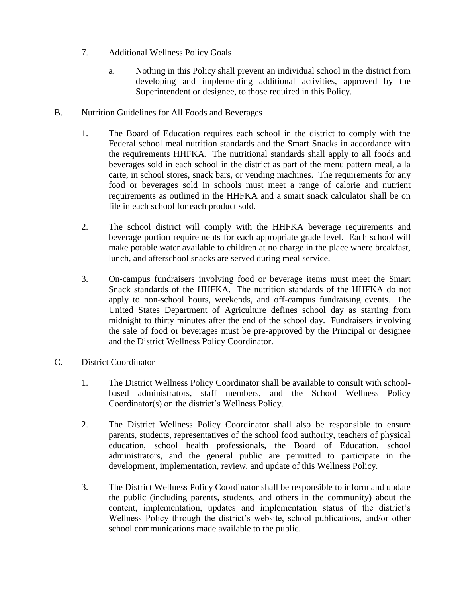- 7. Additional Wellness Policy Goals
	- a. Nothing in this Policy shall prevent an individual school in the district from developing and implementing additional activities, approved by the Superintendent or designee, to those required in this Policy.
- B. Nutrition Guidelines for All Foods and Beverages
	- 1. The Board of Education requires each school in the district to comply with the Federal school meal nutrition standards and the Smart Snacks in accordance with the requirements HHFKA. The nutritional standards shall apply to all foods and beverages sold in each school in the district as part of the menu pattern meal, a la carte, in school stores, snack bars, or vending machines. The requirements for any food or beverages sold in schools must meet a range of calorie and nutrient requirements as outlined in the HHFKA and a smart snack calculator shall be on file in each school for each product sold.
	- 2. The school district will comply with the HHFKA beverage requirements and beverage portion requirements for each appropriate grade level. Each school will make potable water available to children at no charge in the place where breakfast, lunch, and afterschool snacks are served during meal service.
	- 3. On-campus fundraisers involving food or beverage items must meet the Smart Snack standards of the HHFKA. The nutrition standards of the HHFKA do not apply to non-school hours, weekends, and off-campus fundraising events. The United States Department of Agriculture defines school day as starting from midnight to thirty minutes after the end of the school day. Fundraisers involving the sale of food or beverages must be pre-approved by the Principal or designee and the District Wellness Policy Coordinator.
- C. District Coordinator
	- 1. The District Wellness Policy Coordinator shall be available to consult with schoolbased administrators, staff members, and the School Wellness Policy Coordinator(s) on the district's Wellness Policy.
	- 2. The District Wellness Policy Coordinator shall also be responsible to ensure parents, students, representatives of the school food authority, teachers of physical education, school health professionals, the Board of Education, school administrators, and the general public are permitted to participate in the development, implementation, review, and update of this Wellness Policy.
	- 3. The District Wellness Policy Coordinator shall be responsible to inform and update the public (including parents, students, and others in the community) about the content, implementation, updates and implementation status of the district's Wellness Policy through the district's website, school publications, and/or other school communications made available to the public.